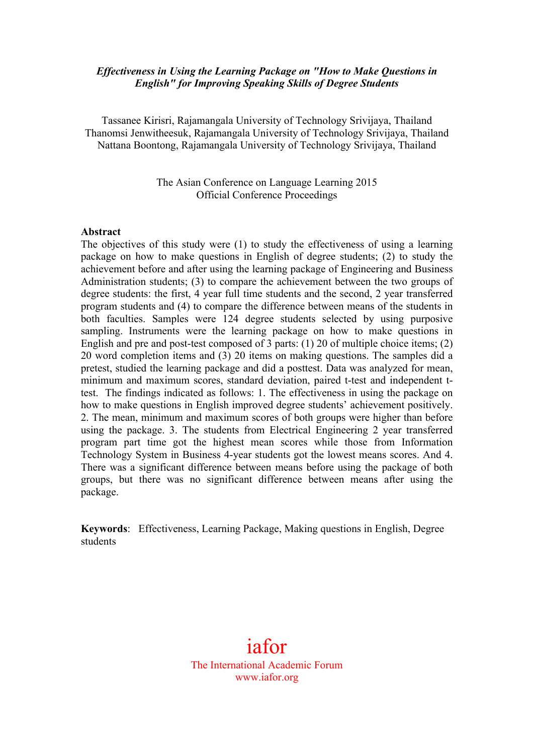### *Effectiveness in Using the Learning Package on "How to Make Questions in English" for Improving Speaking Skills of Degree Students*

Tassanee Kirisri, Rajamangala University of Technology Srivijaya, Thailand Thanomsi Jenwitheesuk, Rajamangala University of Technology Srivijaya, Thailand Nattana Boontong, Rajamangala University of Technology Srivijaya, Thailand

> The Asian Conference on Language Learning 2015 Official Conference Proceedings

#### **Abstract**

The objectives of this study were (1) to study the effectiveness of using a learning package on how to make questions in English of degree students; (2) to study the achievement before and after using the learning package of Engineering and Business Administration students; (3) to compare the achievement between the two groups of degree students: the first, 4 year full time students and the second, 2 year transferred program students and (4) to compare the difference between means of the students in both faculties. Samples were 124 degree students selected by using purposive sampling. Instruments were the learning package on how to make questions in English and pre and post-test composed of 3 parts: (1) 20 of multiple choice items; (2) 20 word completion items and (3) 20 items on making questions. The samples did a pretest, studied the learning package and did a posttest. Data was analyzed for mean, minimum and maximum scores, standard deviation, paired t-test and independent ttest.The findings indicated as follows: 1. The effectiveness in using the package on how to make questions in English improved degree students' achievement positively. 2. The mean, minimum and maximum scores of both groups were higher than before using the package. 3. The students from Electrical Engineering 2 year transferred program part time got the highest mean scores while those from Information Technology System in Business 4-year students got the lowest means scores. And 4. There was a significant difference between means before using the package of both groups, but there was no significant difference between means after using the package.

**Keywords**: Effectiveness, Learning Package, Making questions in English, Degree students

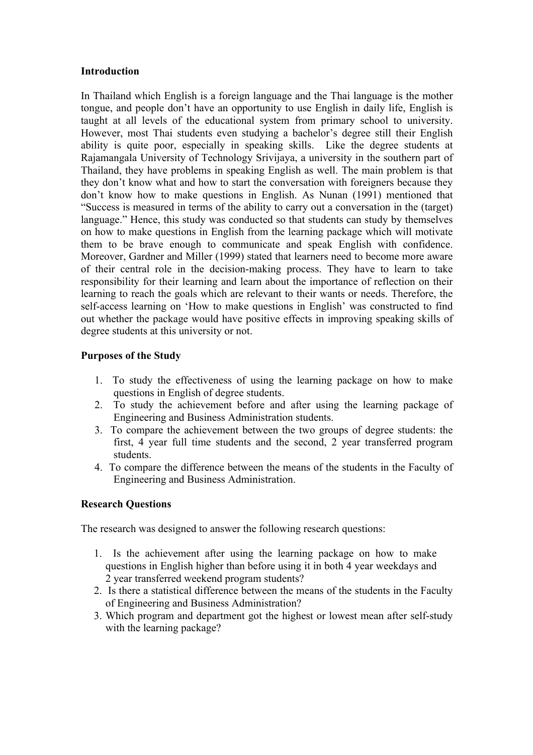### **Introduction**

In Thailand which English is a foreign language and the Thai language is the mother tongue, and people don't have an opportunity to use English in daily life, English is taught at all levels of the educational system from primary school to university. However, most Thai students even studying a bachelor's degree still their English ability is quite poor, especially in speaking skills. Like the degree students at Rajamangala University of Technology Srivijaya, a university in the southern part of Thailand, they have problems in speaking English as well. The main problem is that they don't know what and how to start the conversation with foreigners because they don't know how to make questions in English. As Nunan (1991) mentioned that "Success is measured in terms of the ability to carry out a conversation in the (target) language." Hence, this study was conducted so that students can study by themselves on how to make questions in English from the learning package which will motivate them to be brave enough to communicate and speak English with confidence. Moreover, Gardner and Miller (1999) stated that learners need to become more aware of their central role in the decision-making process. They have to learn to take responsibility for their learning and learn about the importance of reflection on their learning to reach the goals which are relevant to their wants or needs. Therefore, the self-access learning on 'How to make questions in English' was constructed to find out whether the package would have positive effects in improving speaking skills of degree students at this university or not.

### **Purposes of the Study**

- 1. To study the effectiveness of using the learning package on how to make questions in English of degree students.
- 2. To study the achievement before and after using the learning package of Engineering and Business Administration students.
- 3. To compare the achievement between the two groups of degree students: the first, 4 year full time students and the second, 2 year transferred program students.
- 4. To compare the difference between the means of the students in the Faculty of Engineering and Business Administration.

## **Research Questions**

The research was designed to answer the following research questions:

- 1. Is the achievement after using the learning package on how to make questions in English higher than before using it in both 4 year weekdays and 2 year transferred weekend program students?
- 2. Is there a statistical difference between the means of the students in the Faculty of Engineering and Business Administration?
- 3. Which program and department got the highest or lowest mean after self-study with the learning package?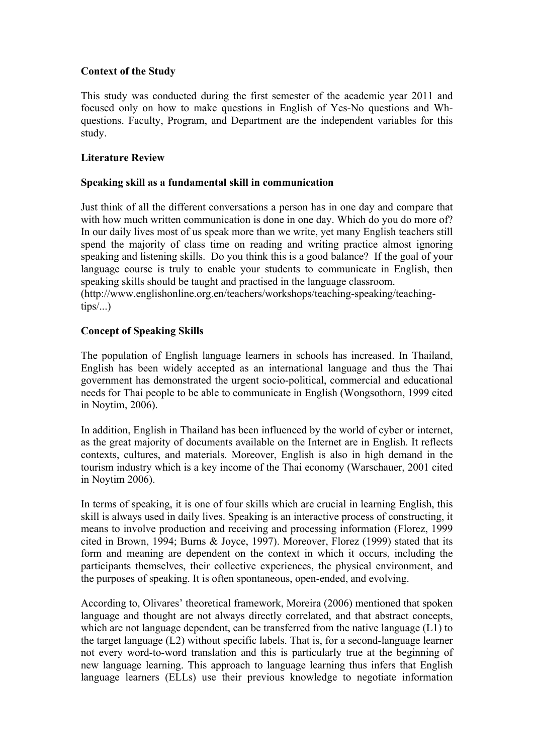## **Context of the Study**

This study was conducted during the first semester of the academic year 2011 and focused only on how to make questions in English of Yes-No questions and Whquestions. Faculty, Program, and Department are the independent variables for this study.

## **Literature Review**

## **Speaking skill as a fundamental skill in communication**

Just think of all the different conversations a person has in one day and compare that with how much written communication is done in one day. Which do you do more of? In our daily lives most of us speak more than we write, yet many English teachers still spend the majority of class time on reading and writing practice almost ignoring speaking and listening skills. Do you think this is a good balance? If the goal of your language course is truly to enable your students to communicate in English, then speaking skills should be taught and practised in the language classroom. (http://www.englishonline.org.en/teachers/workshops/teaching-speaking/teaching $tips/$ ...

## **Concept of Speaking Skills**

The population of English language learners in schools has increased. In Thailand, English has been widely accepted as an international language and thus the Thai government has demonstrated the urgent socio-political, commercial and educational needs for Thai people to be able to communicate in English (Wongsothorn, 1999 cited in Noytim, 2006).

In addition, English in Thailand has been influenced by the world of cyber or internet, as the great majority of documents available on the Internet are in English. It reflects contexts, cultures, and materials. Moreover, English is also in high demand in the tourism industry which is a key income of the Thai economy (Warschauer, 2001 cited in Noytim 2006).

In terms of speaking, it is one of four skills which are crucial in learning English, this skill is always used in daily lives. Speaking is an interactive process of constructing, it means to involve production and receiving and processing information (Florez, 1999 cited in Brown, 1994; Burns & Joyce, 1997). Moreover, Florez (1999) stated that its form and meaning are dependent on the context in which it occurs, including the participants themselves, their collective experiences, the physical environment, and the purposes of speaking. It is often spontaneous, open-ended, and evolving.

According to, Olivares' theoretical framework, Moreira (2006) mentioned that spoken language and thought are not always directly correlated, and that abstract concepts, which are not language dependent, can be transferred from the native language (L1) to the target language (L2) without specific labels. That is, for a second-language learner not every word-to-word translation and this is particularly true at the beginning of new language learning. This approach to language learning thus infers that English language learners (ELLs) use their previous knowledge to negotiate information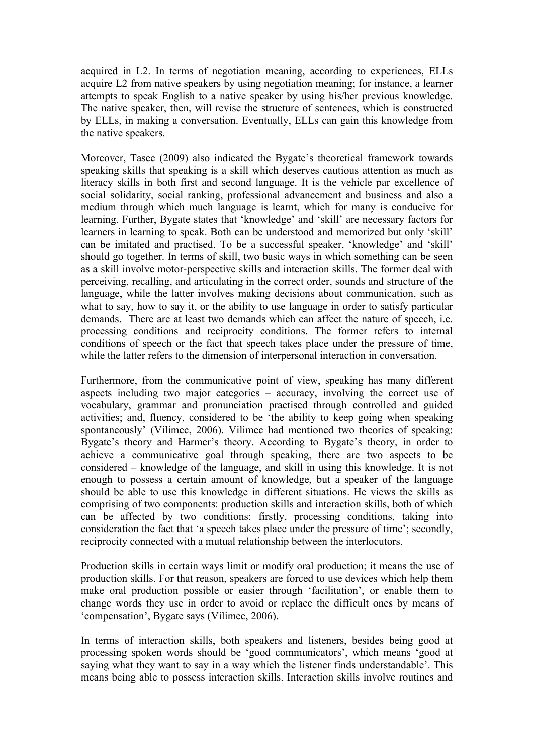acquired in L2. In terms of negotiation meaning, according to experiences, ELLs acquire L2 from native speakers by using negotiation meaning; for instance, a learner attempts to speak English to a native speaker by using his/her previous knowledge. The native speaker, then, will revise the structure of sentences, which is constructed by ELLs, in making a conversation. Eventually, ELLs can gain this knowledge from the native speakers.

Moreover, Tasee (2009) also indicated the Bygate's theoretical framework towards speaking skills that speaking is a skill which deserves cautious attention as much as literacy skills in both first and second language. It is the vehicle par excellence of social solidarity, social ranking, professional advancement and business and also a medium through which much language is learnt, which for many is conducive for learning. Further, Bygate states that 'knowledge' and 'skill' are necessary factors for learners in learning to speak. Both can be understood and memorized but only 'skill' can be imitated and practised. To be a successful speaker, 'knowledge' and 'skill' should go together. In terms of skill, two basic ways in which something can be seen as a skill involve motor-perspective skills and interaction skills. The former deal with perceiving, recalling, and articulating in the correct order, sounds and structure of the language, while the latter involves making decisions about communication, such as what to say, how to say it, or the ability to use language in order to satisfy particular demands. There are at least two demands which can affect the nature of speech, i.e. processing conditions and reciprocity conditions. The former refers to internal conditions of speech or the fact that speech takes place under the pressure of time, while the latter refers to the dimension of interpersonal interaction in conversation.

Furthermore, from the communicative point of view, speaking has many different aspects including two major categories – accuracy, involving the correct use of vocabulary, grammar and pronunciation practised through controlled and guided activities; and, fluency, considered to be 'the ability to keep going when speaking spontaneously' (Vilimec, 2006). Vilimec had mentioned two theories of speaking: Bygate's theory and Harmer's theory. According to Bygate's theory, in order to achieve a communicative goal through speaking, there are two aspects to be considered – knowledge of the language, and skill in using this knowledge. It is not enough to possess a certain amount of knowledge, but a speaker of the language should be able to use this knowledge in different situations. He views the skills as comprising of two components: production skills and interaction skills, both of which can be affected by two conditions: firstly, processing conditions, taking into consideration the fact that 'a speech takes place under the pressure of time'; secondly, reciprocity connected with a mutual relationship between the interlocutors.

Production skills in certain ways limit or modify oral production; it means the use of production skills. For that reason, speakers are forced to use devices which help them make oral production possible or easier through 'facilitation', or enable them to change words they use in order to avoid or replace the difficult ones by means of 'compensation', Bygate says (Vilimec, 2006).

In terms of interaction skills, both speakers and listeners, besides being good at processing spoken words should be 'good communicators', which means 'good at saying what they want to say in a way which the listener finds understandable'. This means being able to possess interaction skills. Interaction skills involve routines and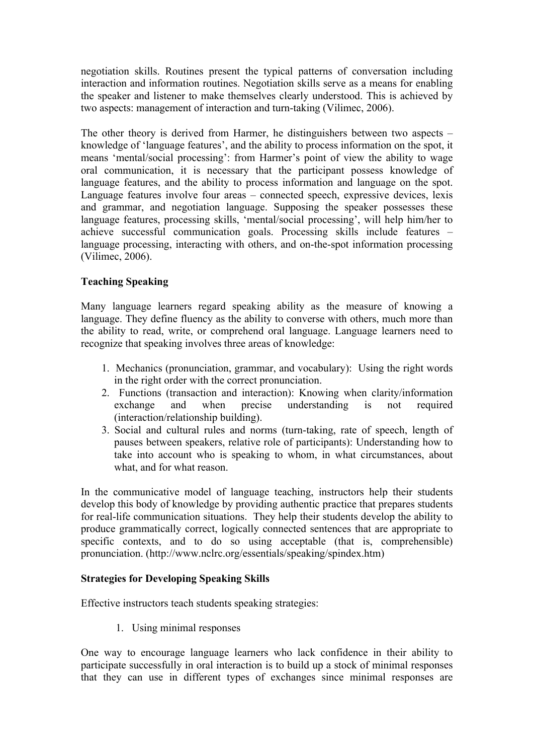negotiation skills. Routines present the typical patterns of conversation including interaction and information routines. Negotiation skills serve as a means for enabling the speaker and listener to make themselves clearly understood. This is achieved by two aspects: management of interaction and turn-taking (Vilimec, 2006).

The other theory is derived from Harmer, he distinguishers between two aspects – knowledge of 'language features', and the ability to process information on the spot, it means 'mental/social processing': from Harmer's point of view the ability to wage oral communication, it is necessary that the participant possess knowledge of language features, and the ability to process information and language on the spot. Language features involve four areas – connected speech, expressive devices, lexis and grammar, and negotiation language. Supposing the speaker possesses these language features, processing skills, 'mental/social processing', will help him/her to achieve successful communication goals. Processing skills include features – language processing, interacting with others, and on-the-spot information processing (Vilimec, 2006).

## **Teaching Speaking**

Many language learners regard speaking ability as the measure of knowing a language. They define fluency as the ability to converse with others, much more than the ability to read, write, or comprehend oral language. Language learners need to recognize that speaking involves three areas of knowledge:

- 1. Mechanics (pronunciation, grammar, and vocabulary): Using the right words in the right order with the correct pronunciation.
- 2. Functions (transaction and interaction): Knowing when clarity/information exchange and when precise understanding is not required (interaction/relationship building).
- 3. Social and cultural rules and norms (turn-taking, rate of speech, length of pauses between speakers, relative role of participants): Understanding how to take into account who is speaking to whom, in what circumstances, about what, and for what reason.

In the communicative model of language teaching, instructors help their students develop this body of knowledge by providing authentic practice that prepares students for real-life communication situations. They help their students develop the ability to produce grammatically correct, logically connected sentences that are appropriate to specific contexts, and to do so using acceptable (that is, comprehensible) pronunciation. (http://www.nclrc.org/essentials/speaking/spindex.htm)

### **Strategies for Developing Speaking Skills**

Effective instructors teach students speaking strategies:

1. Using minimal responses

One way to encourage language learners who lack confidence in their ability to participate successfully in oral interaction is to build up a stock of minimal responses that they can use in different types of exchanges since minimal responses are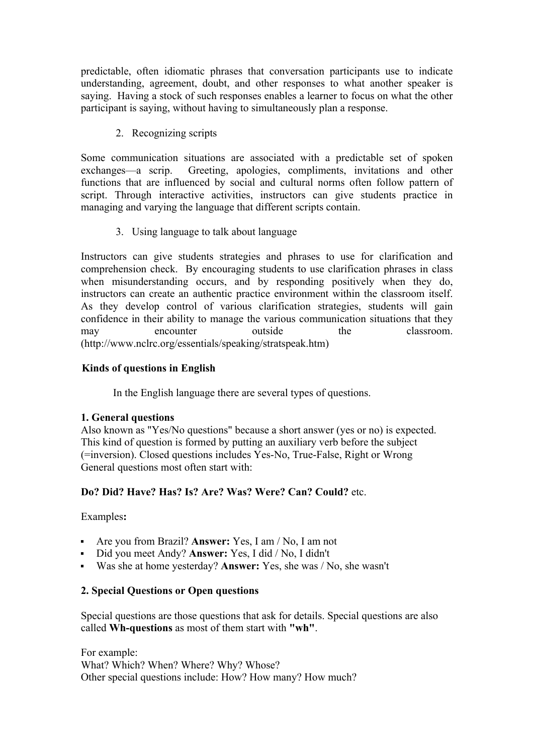predictable, often idiomatic phrases that conversation participants use to indicate understanding, agreement, doubt, and other responses to what another speaker is saying. Having a stock of such responses enables a learner to focus on what the other participant is saying, without having to simultaneously plan a response.

2. Recognizing scripts

Some communication situations are associated with a predictable set of spoken exchanges—a scrip. Greeting, apologies, compliments, invitations and other functions that are influenced by social and cultural norms often follow pattern of script. Through interactive activities, instructors can give students practice in managing and varying the language that different scripts contain.

3. Using language to talk about language

Instructors can give students strategies and phrases to use for clarification and comprehension check. By encouraging students to use clarification phrases in class when misunderstanding occurs, and by responding positively when they do, instructors can create an authentic practice environment within the classroom itself. As they develop control of various clarification strategies, students will gain confidence in their ability to manage the various communication situations that they may encounter outside the classroom. (http://www.nclrc.org/essentials/speaking/stratspeak.htm)

## **Kinds of questions in English**

In the English language there are several types of questions.

# **1. General questions**

Also known as "Yes/No questions" because a short answer (yes or no) is expected. This kind of question is formed by putting an auxiliary verb before the subject (=inversion). Closed questions includes Yes-No, True-False, Right or Wrong General questions most often start with:

# **Do? Did? Have? Has? Is? Are? Was? Were? Can? Could?** etc.

## Examples**:**

- ! Are you from Brazil? **Answer:** Yes, I am / No, I am not
- ! Did you meet Andy? **Answer:** Yes, I did / No, I didn't
- ! Was she at home yesterday? **Answer:** Yes, she was / No, she wasn't

## **2. Special Questions or Open questions**

Special questions are those questions that ask for details. Special questions are also called **Wh-questions** as most of them start with **"wh"**.

For example: What? Which? When? Where? Why? Whose? Other special questions include: How? How many? How much?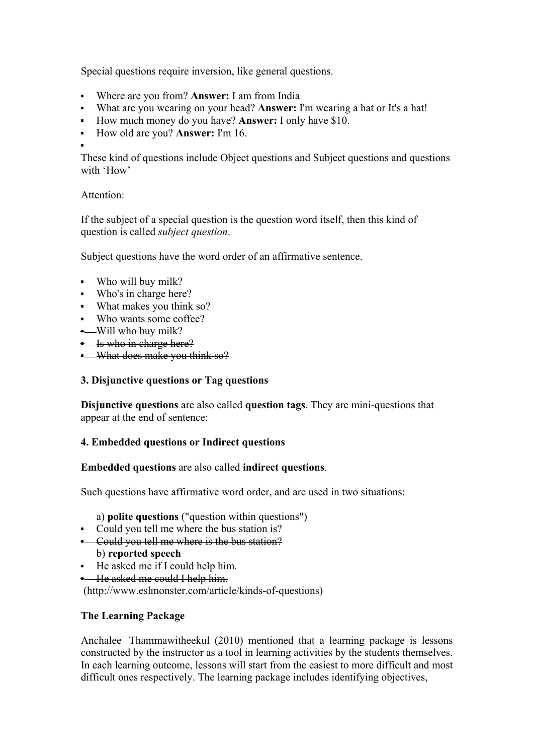Special questions require inversion, like general questions.

- ! Where are you from? **Answer:** I am from India
- ! What are you wearing on your head? **Answer:** I'm wearing a hat or It's a hat!
- ! How much money do you have? **Answer:** I only have \$10.
- ! How old are you? **Answer:** I'm 16.
- !

These kind of questions include Object questions and Subject questions and questions with 'How'

Attention:

If the subject of a special question is the question word itself, then this kind of question is called *subject question*.

Subject questions have the word order of an affirmative sentence.

- ! Who will buy milk?
- ! Who's in charge here?
- ! What makes you think so?
- ! Who wants some coffee?
- $-Will$  who buy milk?

**.** Is who in charge here?

. What does make you think so?

# **3. Disjunctive questions or Tag questions**

**Disjunctive questions** are also called **question tags**. They are mini-questions that appear at the end of sentence:

# **4. Embedded questions or Indirect questions**

# **Embedded questions** are also called **indirect questions**.

Such questions have affirmative word order, and are used in two situations:

a) **polite questions** ("question within questions")

- ! Could you tell me where the bus station is?
- . Could you tell me where is the bus station? b) **reported speech**
- ! He asked me if I could help him.

**.** He asked me could I help him.

(http://www.eslmonster.com/article/kinds-of-questions)

# **The Learning Package**

Anchalee Thammawitheekul (2010) mentioned that a learning package is lessons constructed by the instructor as a tool in learning activities by the students themselves. In each learning outcome, lessons will start from the easiest to more difficult and most difficult ones respectively. The learning package includes identifying objectives,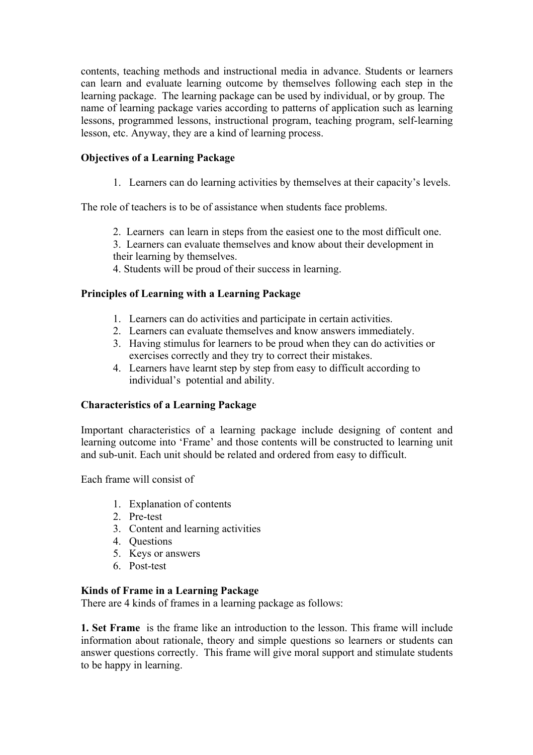contents, teaching methods and instructional media in advance. Students or learners can learn and evaluate learning outcome by themselves following each step in the learning package. The learning package can be used by individual, or by group. The name of learning package varies according to patterns of application such as learning lessons, programmed lessons, instructional program, teaching program, self-learning lesson, etc. Anyway, they are a kind of learning process.

# **Objectives of a Learning Package**

1. Learners can do learning activities by themselves at their capacity's levels.

The role of teachers is to be of assistance when students face problems.

2. Learners can learn in steps from the easiest one to the most difficult one.

3. Learners can evaluate themselves and know about their development in their learning by themselves.

4. Students will be proud of their success in learning.

## **Principles of Learning with a Learning Package**

- 1. Learners can do activities and participate in certain activities.
- 2. Learners can evaluate themselves and know answers immediately.
- 3. Having stimulus for learners to be proud when they can do activities or exercises correctly and they try to correct their mistakes.
- 4. Learners have learnt step by step from easy to difficult according to individual's potential and ability.

## **Characteristics of a Learning Package**

Important characteristics of a learning package include designing of content and learning outcome into 'Frame' and those contents will be constructed to learning unit and sub-unit. Each unit should be related and ordered from easy to difficult.

Each frame will consist of

- 1. Explanation of contents
- 2. Pre-test
- 3. Content and learning activities
- 4. Questions
- 5. Keys or answers
- 6. Post-test

## **Kinds of Frame in a Learning Package**

There are 4 kinds of frames in a learning package as follows:

**1. Set Frame** is the frame like an introduction to the lesson. This frame will include information about rationale, theory and simple questions so learners or students can answer questions correctly. This frame will give moral support and stimulate students to be happy in learning.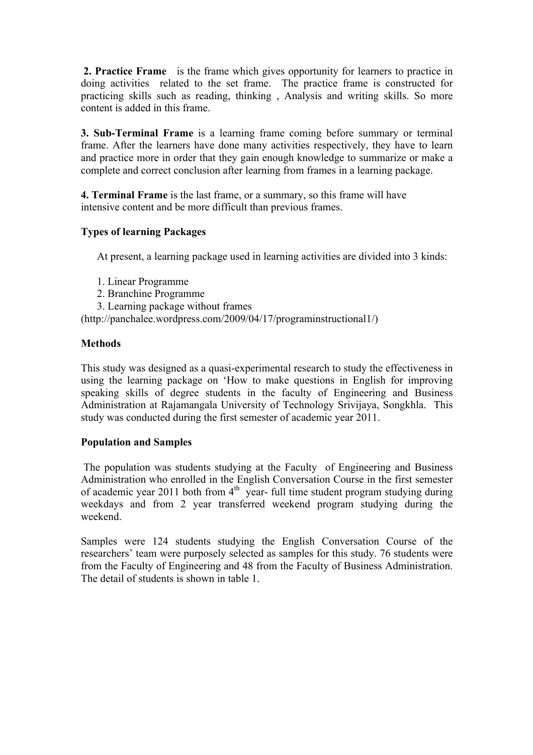**2. Practice Frame** is the frame which gives opportunity for learners to practice in doing activities related to the set frame. The practice frame is constructed for practicing skills such as reading, thinking , Analysis and writing skills. So more content is added in this frame.

**3. Sub-Terminal Frame** is a learning frame coming before summary or terminal frame. After the learners have done many activities respectively, they have to learn and practice more in order that they gain enough knowledge to summarize or make a complete and correct conclusion after learning from frames in a learning package.

**4. Terminal Frame** is the last frame, or a summary, so this frame will have intensive content and be more difficult than previous frames.

### **Types of learning Packages**

At present, a learning package used in learning activities are divided into 3 kinds:

- 1. Linear Programme
- 2. Branchine Programme
- 3. Learning package without frames

(http://panchalee.wordpress.com/2009/04/17/programinstructional1/)

### **Methods**

This study was designed as a quasi-experimental research to study the effectiveness in using the learning package on 'How to make questions in English for improving speaking skills of degree students in the faculty of Engineering and Business Administration at Rajamangala University of Technology Srivijaya, Songkhla. This study was conducted during the first semester of academic year 2011.

### **Population and Samples**

The population was students studying at the Faculty of Engineering and Business Administration who enrolled in the English Conversation Course in the first semester of academic year 2011 both from  $4<sup>th</sup>$  year- full time student program studying during weekdays and from 2 year transferred weekend program studying during the weekend.

Samples were 124 students studying the English Conversation Course of the researchers' team were purposely selected as samples for this study. 76 students were from the Faculty of Engineering and 48 from the Faculty of Business Administration. The detail of students is shown in table 1.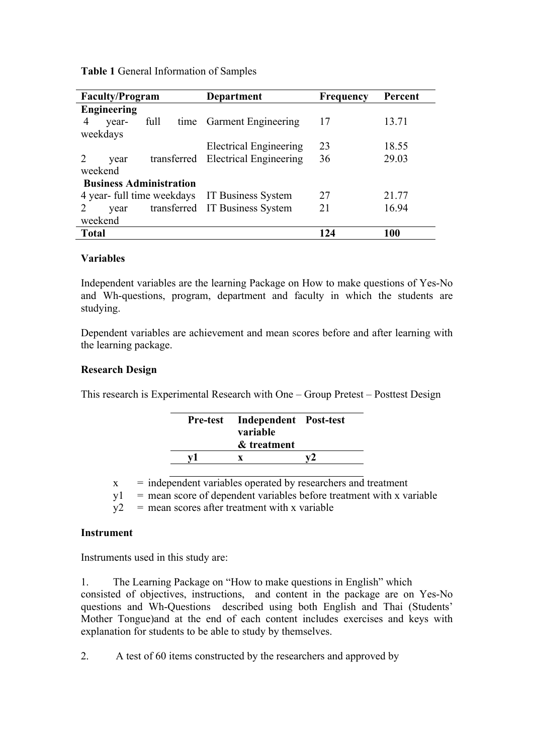| <b>Faculty/Program</b>         | <b>Department</b>                  | <b>Frequency</b> | Percent    |
|--------------------------------|------------------------------------|------------------|------------|
| <b>Engineering</b>             |                                    |                  |            |
| full<br>4<br>year-             | time Garment Engineering           | 17               | 13.71      |
| weekdays                       |                                    |                  |            |
|                                | <b>Electrical Engineering</b>      | 23               | 18.55      |
| year                           | transferred Electrical Engineering | 36               | 29.03      |
| weekend                        |                                    |                  |            |
| <b>Business Administration</b> |                                    |                  |            |
| 4 year- full time weekdays     | IT Business System                 | 27               | 21.77      |
| vear                           | transferred IT Business System     | 21               | 16.94      |
| weekend                        |                                    |                  |            |
| <b>Total</b>                   |                                    | 124              | <b>100</b> |

**Table 1** General Information of Samples

### **Variables**

Independent variables are the learning Package on How to make questions of Yes-No and Wh-questions, program, department and faculty in which the students are studying.

Dependent variables are achievement and mean scores before and after learning with the learning package.

### **Research Design**

This research is Experimental Research with One – Group Pretest – Posttest Design

| Pre-test Independent Post-test<br>variable<br>& treatment |  |
|-----------------------------------------------------------|--|
|                                                           |  |

 $x =$  independent variables operated by researchers and treatment

 $y1 =$  mean score of dependent variables before treatment with x variable

 $y^2$  = mean scores after treatment with x variable

### **Instrument**

Instruments used in this study are:

1. The Learning Package on "How to make questions in English" which consisted of objectives, instructions, and content in the package are on Yes-No questions and Wh-Questions described using both English and Thai (Students' Mother Tongue)and at the end of each content includes exercises and keys with explanation for students to be able to study by themselves.

2. A test of 60 items constructed by the researchers and approved by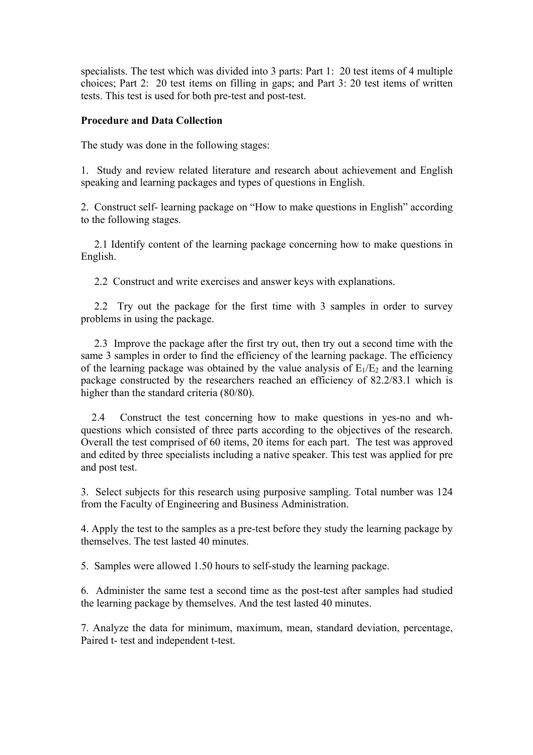specialists. The test which was divided into 3 parts: Part 1: 20 test items of 4 multiple choices; Part 2: 20 test items on filling in gaps; and Part 3: 20 test items of written tests. This test is used for both pre-test and post-test.

### **Procedure and Data Collection**

The study was done in the following stages:

1. Study and review related literature and research about achievement and English speaking and learning packages and types of questions in English.

2. Construct self- learning package on "How to make questions in English" according to the following stages.

 2.1 Identify content of the learning package concerning how to make questions in English.

2.2 Construct and write exercises and answer keys with explanations.

 2.2 Try out the package for the first time with 3 samples in order to survey problems in using the package.

 2.3 Improve the package after the first try out, then try out a second time with the same 3 samples in order to find the efficiency of the learning package. The efficiency of the learning package was obtained by the value analysis of  $E_1/E_2$  and the learning package constructed by the researchers reached an efficiency of 82.2/83.1 which is higher than the standard criteria (80/80).

 2.4 Construct the test concerning how to make questions in yes-no and whquestions which consisted of three parts according to the objectives of the research. Overall the test comprised of 60 items, 20 items for each part. The test was approved and edited by three specialists including a native speaker. This test was applied for pre and post test.

3. Select subjects for this research using purposive sampling. Total number was 124 from the Faculty of Engineering and Business Administration.

4. Apply the test to the samples as a pre-test before they study the learning package by themselves. The test lasted 40 minutes.

5. Samples were allowed 1.50 hours to self-study the learning package.

6. Administer the same test a second time as the post-test after samples had studied the learning package by themselves. And the test lasted 40 minutes.

7. Analyze the data for minimum, maximum, mean, standard deviation, percentage, Paired t- test and independent t-test.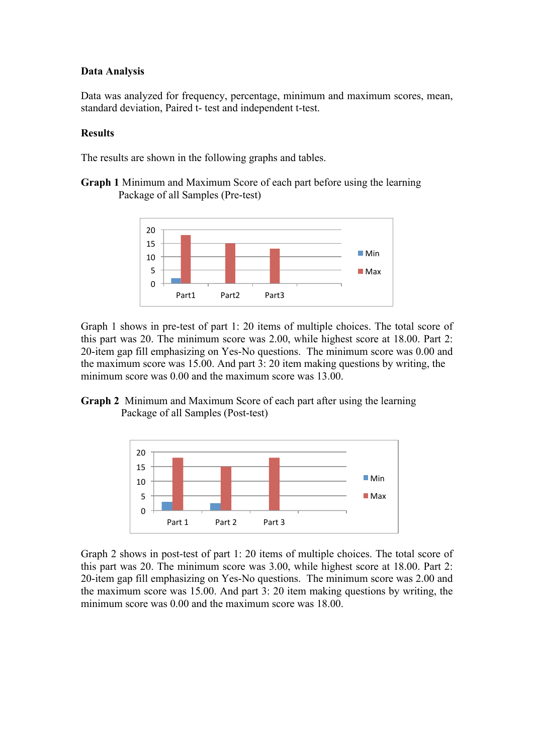### **Data Analysis**

Data was analyzed for frequency, percentage, minimum and maximum scores, mean, standard deviation, Paired t- test and independent t-test.

### **Results**

The results are shown in the following graphs and tables.

**Graph 1** Minimum and Maximum Score of each part before using the learning Package of all Samples (Pre-test)



Graph 1 shows in pre-test of part 1: 20 items of multiple choices. The total score of this part was 20. The minimum score was 2.00, while highest score at 18.00. Part 2: 20-item gap fill emphasizing on Yes-No questions. The minimum score was 0.00 and the maximum score was 15.00. And part 3: 20 item making questions by writing, the minimum score was 0.00 and the maximum score was 13.00.





Graph 2 shows in post-test of part 1: 20 items of multiple choices. The total score of this part was 20. The minimum score was 3.00, while highest score at 18.00. Part 2: 20-item gap fill emphasizing on Yes-No questions. The minimum score was 2.00 and the maximum score was 15.00. And part 3: 20 item making questions by writing, the minimum score was 0.00 and the maximum score was 18.00.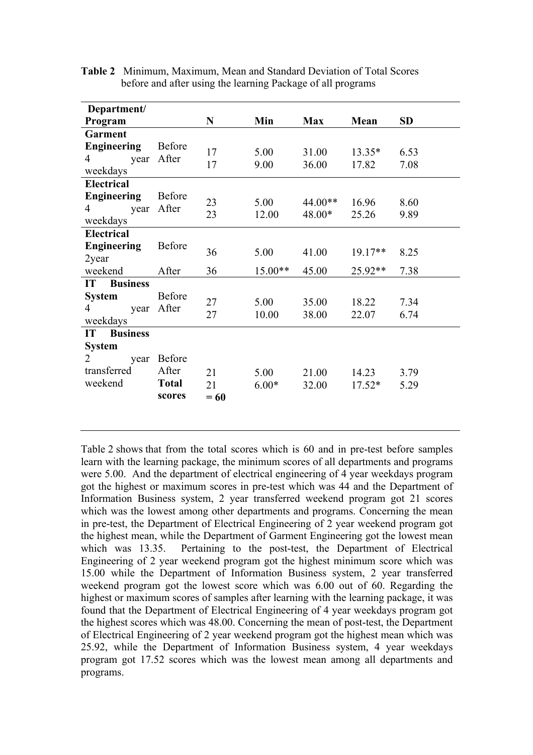| Department/                                          |                                                  |                    |                 |                       |                   |              |
|------------------------------------------------------|--------------------------------------------------|--------------------|-----------------|-----------------------|-------------------|--------------|
| Program                                              |                                                  | $\mathbf N$        | Min             | <b>Max</b>            | Mean              | <b>SD</b>    |
| <b>Garment</b>                                       |                                                  |                    |                 |                       |                   |              |
| <b>Engineering</b><br>$\overline{4}$<br>year         | <b>Before</b><br>After                           | 17<br>17           | 5.00<br>9.00    | 31.00<br>36.00        | $13.35*$<br>17.82 | 6.53<br>7.08 |
| weekdays                                             |                                                  |                    |                 |                       |                   |              |
| <b>Electrical</b>                                    |                                                  |                    |                 |                       |                   |              |
| <b>Engineering</b><br>4<br>year<br>weekdays          | Before<br>After                                  | 23<br>23           | 5.00<br>12.00   | $44.00**$<br>$48.00*$ | 16.96<br>25.26    | 8.60<br>9.89 |
| <b>Electrical</b>                                    |                                                  |                    |                 |                       |                   |              |
| <b>Engineering</b><br>2year                          | <b>Before</b>                                    | 36                 | 5.00            | 41.00                 | $19.17**$         | 8.25         |
| weekend                                              | After                                            | 36                 | 15.00**         | 45.00                 | $25.92**$         | 7.38         |
| <b>Business</b><br>IT                                |                                                  |                    |                 |                       |                   |              |
| <b>System</b><br>4<br>year<br>weekdays               | Before<br>After                                  | 27<br>27           | 5.00<br>10.00   | 35.00<br>38.00        | 18.22<br>22.07    | 7.34<br>6.74 |
| IT<br><b>Business</b>                                |                                                  |                    |                 |                       |                   |              |
| <b>System</b><br>2<br>year<br>transferred<br>weekend | <b>Before</b><br>After<br><b>Total</b><br>scores | 21<br>21<br>$= 60$ | 5.00<br>$6.00*$ | 21.00<br>32.00        | 14.23<br>$17.52*$ | 3.79<br>5.29 |

**Table 2** Minimum, Maximum, Mean and Standard Deviation of Total Scores before and after using the learning Package of all programs

Table 2 shows that from the total scores which is 60 and in pre-test before samples learn with the learning package, the minimum scores of all departments and programs were 5.00. And the department of electrical engineering of 4 year weekdays program got the highest or maximum scores in pre-test which was 44 and the Department of Information Business system, 2 year transferred weekend program got 21 scores which was the lowest among other departments and programs. Concerning the mean in pre-test, the Department of Electrical Engineering of 2 year weekend program got the highest mean, while the Department of Garment Engineering got the lowest mean which was 13.35. Pertaining to the post-test, the Department of Electrical Engineering of 2 year weekend program got the highest minimum score which was 15.00 while the Department of Information Business system, 2 year transferred weekend program got the lowest score which was 6.00 out of 60. Regarding the highest or maximum scores of samples after learning with the learning package, it was found that the Department of Electrical Engineering of 4 year weekdays program got the highest scores which was 48.00. Concerning the mean of post-test, the Department of Electrical Engineering of 2 year weekend program got the highest mean which was 25.92, while the Department of Information Business system, 4 year weekdays program got 17.52 scores which was the lowest mean among all departments and programs.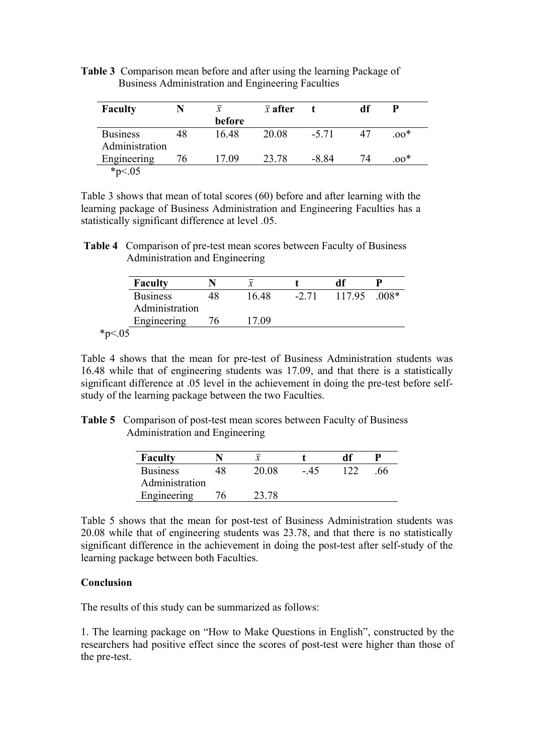**Table 3** Comparison mean before and after using the learning Package of Business Administration and Engineering Faculties

| <b>Faculty</b>                    |    | x      | $\bar{x}$ after |        |    | P      |
|-----------------------------------|----|--------|-----------------|--------|----|--------|
|                                   |    | before |                 |        |    |        |
| <b>Business</b><br>Administration | 48 | 16.48  | 20.08           | $-571$ |    | $.00*$ |
| Engineering                       | 76 | 17 09  | 23.78           | -8 84  | 74 | $.00*$ |
| $*_{p<.05}$                       |    |        |                 |        |    |        |

Table 3 shows that mean of total scores (60) before and after learning with the learning package of Business Administration and Engineering Faculties has a statistically significant difference at level .05.

**Table 4** Comparison of pre-test mean scores between Faculty of Business Administration and Engineering

| <b>Faculty</b>  |       |        |        |        |
|-----------------|-------|--------|--------|--------|
| <b>Business</b> | 16.48 | $-271$ | 117.95 | $008*$ |
| Administration  |       |        |        |        |
| Engineering     | 17 09 |        |        |        |
|                 |       |        |        |        |

Table 4 shows that the mean for pre-test of Business Administration students was 16.48 while that of engineering students was 17.09, and that there is a statistically significant difference at .05 level in the achievement in doing the pre-test before selfstudy of the learning package between the two Faculties.

| <b>Table 5</b> Comparison of post-test mean scores between Faculty of Business |
|--------------------------------------------------------------------------------|
| Administration and Engineering                                                 |

| <b>Faculty</b>  |    | ∼     |      | df |     |
|-----------------|----|-------|------|----|-----|
| <b>Business</b> | 48 | 20.08 | - 45 |    | .66 |
| Administration  |    |       |      |    |     |
| Engineering     |    | 23.78 |      |    |     |

Table 5 shows that the mean for post-test of Business Administration students was 20.08 while that of engineering students was 23.78, and that there is no statistically significant difference in the achievement in doing the post-test after self-study of the learning package between both Faculties.

### **Conclusion**

The results of this study can be summarized as follows:

1. The learning package on "How to Make Questions in English", constructed by the researchers had positive effect since the scores of post-test were higher than those of the pre-test.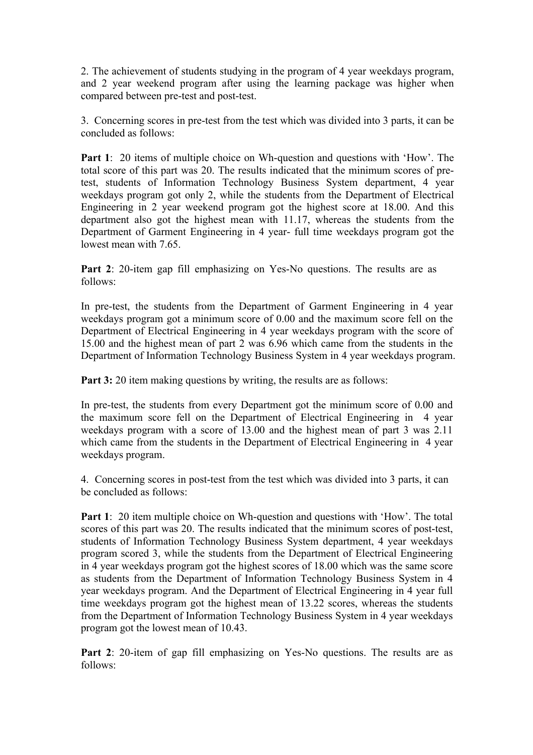2. The achievement of students studying in the program of 4 year weekdays program, and 2 year weekend program after using the learning package was higher when compared between pre-test and post-test.

3. Concerning scores in pre-test from the test which was divided into 3 parts, it can be concluded as follows:

**Part 1**: 20 items of multiple choice on Wh-question and questions with 'How'. The total score of this part was 20. The results indicated that the minimum scores of pretest, students of Information Technology Business System department, 4 year weekdays program got only 2, while the students from the Department of Electrical Engineering in 2 year weekend program got the highest score at 18.00. And this department also got the highest mean with 11.17, whereas the students from the Department of Garment Engineering in 4 year- full time weekdays program got the lowest mean with 7.65

Part 2: 20-item gap fill emphasizing on Yes-No questions. The results are as follows:

In pre-test, the students from the Department of Garment Engineering in 4 year weekdays program got a minimum score of 0.00 and the maximum score fell on the Department of Electrical Engineering in 4 year weekdays program with the score of 15.00 and the highest mean of part 2 was 6.96 which came from the students in the Department of Information Technology Business System in 4 year weekdays program.

**Part 3:** 20 item making questions by writing, the results are as follows:

In pre-test, the students from every Department got the minimum score of 0.00 and the maximum score fell on the Department of Electrical Engineering in 4 year weekdays program with a score of 13.00 and the highest mean of part 3 was 2.11 which came from the students in the Department of Electrical Engineering in 4 year weekdays program.

4. Concerning scores in post-test from the test which was divided into 3 parts, it can be concluded as follows:

**Part 1**: 20 item multiple choice on Wh-question and questions with 'How'. The total scores of this part was 20. The results indicated that the minimum scores of post-test, students of Information Technology Business System department, 4 year weekdays program scored 3, while the students from the Department of Electrical Engineering in 4 year weekdays program got the highest scores of 18.00 which was the same score as students from the Department of Information Technology Business System in 4 year weekdays program. And the Department of Electrical Engineering in 4 year full time weekdays program got the highest mean of 13.22 scores, whereas the students from the Department of Information Technology Business System in 4 year weekdays program got the lowest mean of 10.43.

**Part 2**: 20-item of gap fill emphasizing on Yes-No questions. The results are as follows: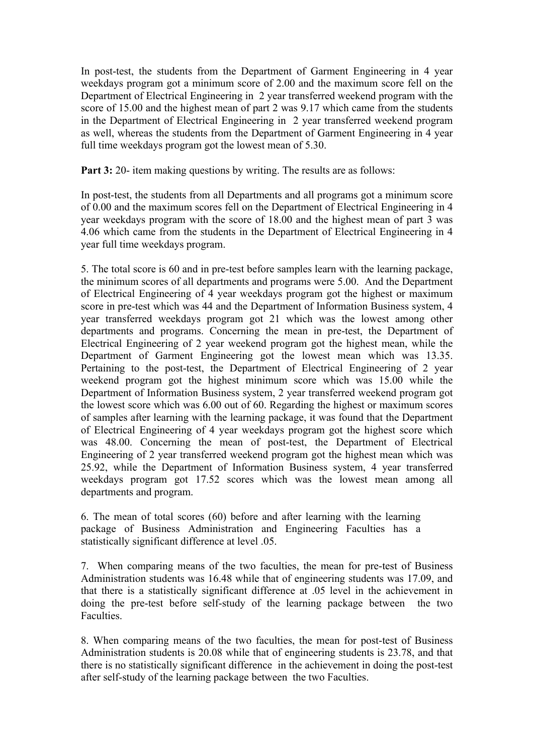In post-test, the students from the Department of Garment Engineering in 4 year weekdays program got a minimum score of 2.00 and the maximum score fell on the Department of Electrical Engineering in 2 year transferred weekend program with the score of 15.00 and the highest mean of part 2 was 9.17 which came from the students in the Department of Electrical Engineering in 2 year transferred weekend program as well, whereas the students from the Department of Garment Engineering in 4 year full time weekdays program got the lowest mean of 5.30.

**Part 3:** 20- item making questions by writing. The results are as follows:

In post-test, the students from all Departments and all programs got a minimum score of 0.00 and the maximum scores fell on the Department of Electrical Engineering in 4 year weekdays program with the score of 18.00 and the highest mean of part 3 was 4.06 which came from the students in the Department of Electrical Engineering in 4 year full time weekdays program.

5. The total score is 60 and in pre-test before samples learn with the learning package, the minimum scores of all departments and programs were 5.00. And the Department of Electrical Engineering of 4 year weekdays program got the highest or maximum score in pre-test which was 44 and the Department of Information Business system, 4 year transferred weekdays program got 21 which was the lowest among other departments and programs. Concerning the mean in pre-test, the Department of Electrical Engineering of 2 year weekend program got the highest mean, while the Department of Garment Engineering got the lowest mean which was 13.35. Pertaining to the post-test, the Department of Electrical Engineering of 2 year weekend program got the highest minimum score which was 15.00 while the Department of Information Business system, 2 year transferred weekend program got the lowest score which was 6.00 out of 60. Regarding the highest or maximum scores of samples after learning with the learning package, it was found that the Department of Electrical Engineering of 4 year weekdays program got the highest score which was 48.00. Concerning the mean of post-test, the Department of Electrical Engineering of 2 year transferred weekend program got the highest mean which was 25.92, while the Department of Information Business system, 4 year transferred weekdays program got 17.52 scores which was the lowest mean among all departments and program.

6. The mean of total scores (60) before and after learning with the learning package of Business Administration and Engineering Faculties has a statistically significant difference at level .05.

7. When comparing means of the two faculties, the mean for pre-test of Business Administration students was 16.48 while that of engineering students was 17.09, and that there is a statistically significant difference at .05 level in the achievement in doing the pre-test before self-study of the learning package between the two Faculties.

8. When comparing means of the two faculties, the mean for post-test of Business Administration students is 20.08 while that of engineering students is 23.78, and that there is no statistically significant difference in the achievement in doing the post-test after self-study of the learning package between the two Faculties.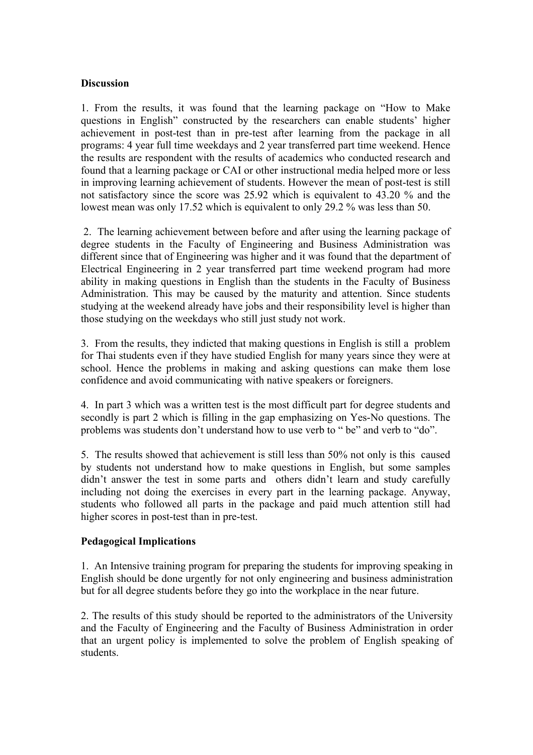### **Discussion**

1. From the results, it was found that the learning package on "How to Make questions in English" constructed by the researchers can enable students' higher achievement in post-test than in pre-test after learning from the package in all programs: 4 year full time weekdays and 2 year transferred part time weekend. Hence the results are respondent with the results of academics who conducted research and found that a learning package or CAI or other instructional media helped more or less in improving learning achievement of students. However the mean of post-test is still not satisfactory since the score was 25.92 which is equivalent to 43.20 % and the lowest mean was only 17.52 which is equivalent to only 29.2 % was less than 50.

2. The learning achievement between before and after using the learning package of degree students in the Faculty of Engineering and Business Administration was different since that of Engineering was higher and it was found that the department of Electrical Engineering in 2 year transferred part time weekend program had more ability in making questions in English than the students in the Faculty of Business Administration. This may be caused by the maturity and attention. Since students studying at the weekend already have jobs and their responsibility level is higher than those studying on the weekdays who still just study not work.

3. From the results, they indicted that making questions in English is still a problem for Thai students even if they have studied English for many years since they were at school. Hence the problems in making and asking questions can make them lose confidence and avoid communicating with native speakers or foreigners.

4. In part 3 which was a written test is the most difficult part for degree students and secondly is part 2 which is filling in the gap emphasizing on Yes-No questions. The problems was students don't understand how to use verb to " be" and verb to "do".

5. The results showed that achievement is still less than 50% not only is this caused by students not understand how to make questions in English, but some samples didn't answer the test in some parts and others didn't learn and study carefully including not doing the exercises in every part in the learning package. Anyway, students who followed all parts in the package and paid much attention still had higher scores in post-test than in pre-test.

### **Pedagogical Implications**

1. An Intensive training program for preparing the students for improving speaking in English should be done urgently for not only engineering and business administration but for all degree students before they go into the workplace in the near future.

2. The results of this study should be reported to the administrators of the University and the Faculty of Engineering and the Faculty of Business Administration in order that an urgent policy is implemented to solve the problem of English speaking of students.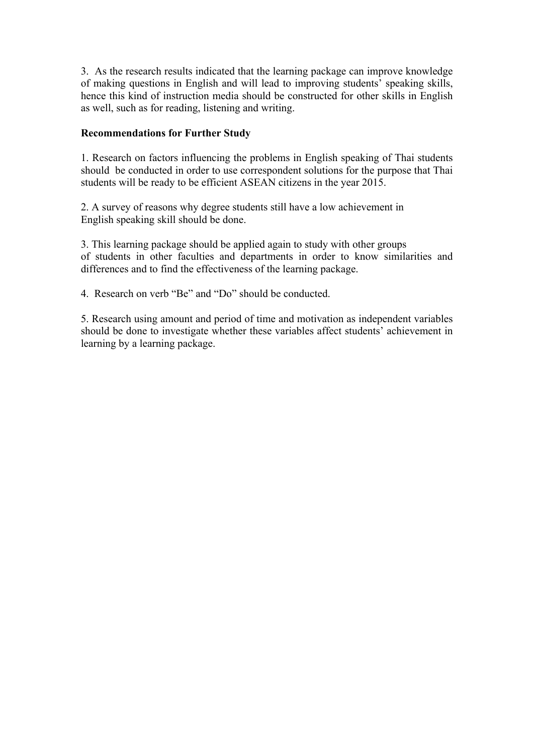3. As the research results indicated that the learning package can improve knowledge of making questions in English and will lead to improving students' speaking skills, hence this kind of instruction media should be constructed for other skills in English as well, such as for reading, listening and writing.

## **Recommendations for Further Study**

1. Research on factors influencing the problems in English speaking of Thai students should be conducted in order to use correspondent solutions for the purpose that Thai students will be ready to be efficient ASEAN citizens in the year 2015.

2. A survey of reasons why degree students still have a low achievement in English speaking skill should be done.

3. This learning package should be applied again to study with other groups of students in other faculties and departments in order to know similarities and differences and to find the effectiveness of the learning package.

4. Research on verb "Be" and "Do" should be conducted.

5. Research using amount and period of time and motivation as independent variables should be done to investigate whether these variables affect students' achievement in learning by a learning package.